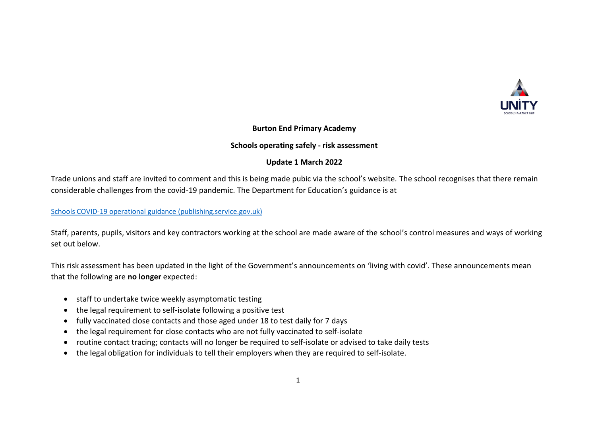

# **Burton End Primary Academy**

### **Schools operating safely - risk assessment**

# **Update 1 March 2022**

Trade unions and staff are invited to comment and this is being made pubic via the school's website. The school recognises that there remain considerable challenges from the covid-19 pandemic. The Department for Education's guidance is at

[Schools COVID-19 operational guidance \(publishing.service.gov.uk\)](https://assets.publishing.service.gov.uk/government/uploads/system/uploads/attachment_data/file/1057106/220224_Schools_guidance.pdf)

Staff, parents, pupils, visitors and key contractors working at the school are made aware of the school's control measures and ways of working set out below.

This risk assessment has been updated in the light of the Government's announcements on 'living with covid'. These announcements mean that the following are **no longer** expected:

- staff to undertake twice weekly asymptomatic testing
- the legal requirement to self-isolate following a positive test
- fully vaccinated close contacts and those aged under 18 to test daily for 7 days
- the legal requirement for close contacts who are not fully vaccinated to self-isolate
- routine contact tracing; contacts will no longer be required to self-isolate or advised to take daily tests
- the legal obligation for individuals to tell their employers when they are required to self-isolate.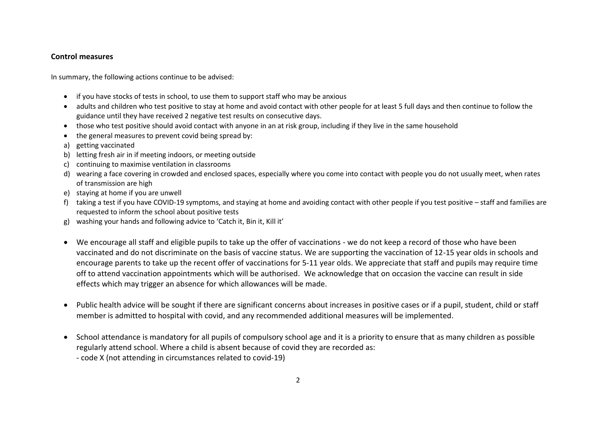## **Control measures**

In summary, the following actions continue to be advised:

- if you have stocks of tests in school, to use them to support staff who may be anxious
- adults and children who test positive to stay at home and avoid contact with other people for at least 5 full days and then continue to follow the guidance until they have received 2 negative test results on consecutive days.
- those who test positive should avoid contact with anyone in an at risk group, including if they live in the same household
- the general measures to prevent covid being spread by:
- a) getting vaccinated
- b) letting fresh air in if meeting indoors, or meeting outside
- c) continuing to maximise ventilation in classrooms
- d) wearing a face covering in crowded and enclosed spaces, especially where you come into contact with people you do not usually meet, when rates of transmission are high
- e) staying at home if you are unwell
- f) taking a test if you have COVID-19 symptoms, and staying at home and avoiding contact with other people if you test positive staff and families are requested to inform the school about positive tests
- g) washing your hands and following advice to 'Catch it, Bin it, Kill it'
- We encourage all staff and eligible pupils to take up the offer of vaccinations we do not keep a record of those who have been vaccinated and do not discriminate on the basis of vaccine status. We are supporting the vaccination of 12-15 year olds in schools and encourage parents to take up the recent offer of vaccinations for 5-11 year olds. We appreciate that staff and pupils may require time off to attend vaccination appointments which will be authorised. We acknowledge that on occasion the vaccine can result in side effects which may trigger an absence for which allowances will be made.
- Public health advice will be sought if there are significant concerns about increases in positive cases or if a pupil, student, child or staff member is admitted to hospital with covid, and any recommended additional measures will be implemented.
- School attendance is mandatory for all pupils of compulsory school age and it is a priority to ensure that as many children as possible regularly attend school. Where a child is absent because of covid they are recorded as:
	- code X (not attending in circumstances related to covid-19)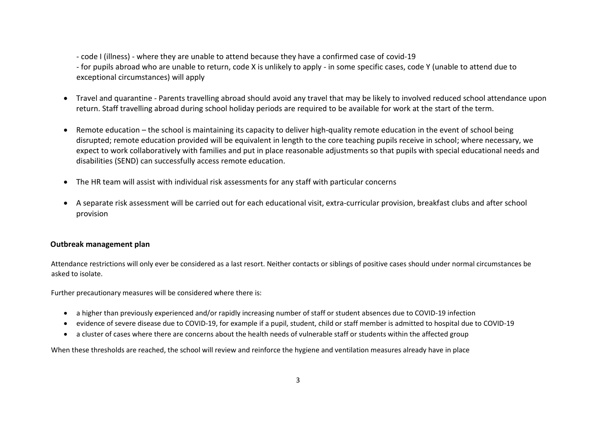- code I (illness) - where they are unable to attend because they have a confirmed case of covid-19

- for pupils abroad who are unable to return, code X is unlikely to apply - in some specific cases, code Y (unable to attend due to exceptional circumstances) will apply

- Travel and quarantine Parents travelling abroad should avoid any travel that may be likely to involved reduced school attendance upon return. Staff travelling abroad during school holiday periods are required to be available for work at the start of the term.
- Remote education the school is maintaining its capacity to deliver high-quality remote education in the event of school being disrupted; remote education provided will be equivalent in length to the core teaching pupils receive in school; where necessary, we expect to work collaboratively with families and put in place reasonable adjustments so that pupils with special educational needs and disabilities (SEND) can successfully access remote education.
- The HR team will assist with individual risk assessments for any staff with particular concerns
- A separate risk assessment will be carried out for each educational visit, extra-curricular provision, breakfast clubs and after school provision

### **Outbreak management plan**

Attendance restrictions will only ever be considered as a last resort. Neither contacts or siblings of positive cases should under normal circumstances be asked to isolate.

Further precautionary measures will be considered where there is:

- a higher than previously experienced and/or rapidly increasing number of staff or student absences due to COVID-19 infection
- evidence of severe disease due to COVID-19, for example if a pupil, student, child or staff member is admitted to hospital due to COVID-19
- a cluster of cases where there are concerns about the health needs of vulnerable staff or students within the affected group

When these thresholds are reached, the school will review and reinforce the hygiene and ventilation measures already have in place